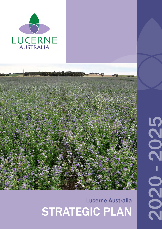



# 1 | Lucerne Australia Strategic Plan 2020 - 2025 PO Box 505, KEITH SA 5267 STRATEGIC PLAN Lucerne Australia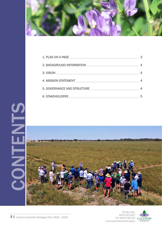

| 5. GOVERNANCE AND STRUCTURE |   |
|-----------------------------|---|
|                             | 5 |





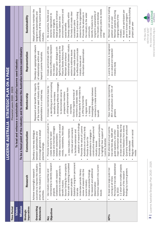|                                  |                                                                                                                                                                                                                                                                                                                                                                                                                                                                                                                        |                                                                                                                                                                                                                                                                                                                                                                                                                                                                                                                                                                                          | LUCERNE AUSTRALIA - STRATEGIC PLAN ON A PAGE                                                                                                                                                                                                                                                                                                                                                                                                                             |                                                                                                                                                                                                                                                                                                                                                                                                  |                                                                                                                                                                                                                                                                                                                                                                                                                                                                                                                                             |
|----------------------------------|------------------------------------------------------------------------------------------------------------------------------------------------------------------------------------------------------------------------------------------------------------------------------------------------------------------------------------------------------------------------------------------------------------------------------------------------------------------------------------------------------------------------|------------------------------------------------------------------------------------------------------------------------------------------------------------------------------------------------------------------------------------------------------------------------------------------------------------------------------------------------------------------------------------------------------------------------------------------------------------------------------------------------------------------------------------------------------------------------------------------|--------------------------------------------------------------------------------------------------------------------------------------------------------------------------------------------------------------------------------------------------------------------------------------------------------------------------------------------------------------------------------------------------------------------------------------------------------------------------|--------------------------------------------------------------------------------------------------------------------------------------------------------------------------------------------------------------------------------------------------------------------------------------------------------------------------------------------------------------------------------------------------|---------------------------------------------------------------------------------------------------------------------------------------------------------------------------------------------------------------------------------------------------------------------------------------------------------------------------------------------------------------------------------------------------------------------------------------------------------------------------------------------------------------------------------------------|
| <b>Time Period</b>               |                                                                                                                                                                                                                                                                                                                                                                                                                                                                                                                        |                                                                                                                                                                                                                                                                                                                                                                                                                                                                                                                                                                                          | Financial years 2020 - 2025                                                                                                                                                                                                                                                                                                                                                                                                                                              |                                                                                                                                                                                                                                                                                                                                                                                                  |                                                                                                                                                                                                                                                                                                                                                                                                                                                                                                                                             |
| Vision                           |                                                                                                                                                                                                                                                                                                                                                                                                                                                                                                                        |                                                                                                                                                                                                                                                                                                                                                                                                                                                                                                                                                                                          | To lead and enhance a sustainable Australian lucerne seed industry                                                                                                                                                                                                                                                                                                                                                                                                       |                                                                                                                                                                                                                                                                                                                                                                                                  |                                                                                                                                                                                                                                                                                                                                                                                                                                                                                                                                             |
| Mission                          |                                                                                                                                                                                                                                                                                                                                                                                                                                                                                                                        |                                                                                                                                                                                                                                                                                                                                                                                                                                                                                                                                                                                          | To be a focal point of the industry and to enhance the Australian lucerne seed industry                                                                                                                                                                                                                                                                                                                                                                                  |                                                                                                                                                                                                                                                                                                                                                                                                  |                                                                                                                                                                                                                                                                                                                                                                                                                                                                                                                                             |
| Imperatives<br><b>Strategic</b>  | Research                                                                                                                                                                                                                                                                                                                                                                                                                                                                                                               | Communication                                                                                                                                                                                                                                                                                                                                                                                                                                                                                                                                                                            | Membership                                                                                                                                                                                                                                                                                                                                                                                                                                                               | Representation                                                                                                                                                                                                                                                                                                                                                                                   | Sustainability                                                                                                                                                                                                                                                                                                                                                                                                                                                                                                                              |
| Overarching<br><b>Statements</b> | driven by the industry's needs and<br>outcomes to improve the industry<br>Achieve meaningful research<br>priorities.                                                                                                                                                                                                                                                                                                                                                                                                   | encourage growers to adopt<br>Develop a two-way dialogue<br>between stakeholders and<br>practice change.                                                                                                                                                                                                                                                                                                                                                                                                                                                                                 | of the lucerne seed industry and its<br>Represent and benefit the majority<br>stakeholders in a united way.                                                                                                                                                                                                                                                                                                                                                              | Develop an appropriate network<br>of relationships within and<br>beyond Lucerne Australia.                                                                                                                                                                                                                                                                                                       | profitability of the lucerne seed<br>Adopt policies to maintain the<br>long-term sustainability and<br>industry.                                                                                                                                                                                                                                                                                                                                                                                                                            |
| <b>Objectives</b><br>Key         | Establish a long-term permanent<br>membership to identify research<br>Value add to existing/completed<br>Source funding for new projects<br>Continue research into current<br>partners to initiate projects to<br>for research and additional<br>Use industry expertise and<br>review of research into the<br>Undertake periodic literary<br>Collate anecdotal findings<br>Collaborate with research<br>research projects<br>lucerne industry<br>benefit industry<br>dissemination<br>trial site<br>projects<br>issues | 89<br>٩,<br>Utilise resources such as social<br>Promote sponsors and funders<br>Promote lucerne as a product<br>Create and maintain linkages<br>media, newsletters, field days<br>adoption of research findin<br>Promote the value of Lucerne<br>constructive dialogue around<br>Australia as an industry body<br>informed and connected;<br>to highlight their support of<br>a. keep industry members<br>b. facilitate extension and<br>stakeholders to engage in<br>create demand for seed<br>between stakeholders<br>Provide a forum for<br>Lucerne Australia<br>industry issues<br>ë | a. identifying and communicating<br>b. developing effective messages<br>Increase membership base by:<br>Build capacity of members by:<br>members to create economic<br>Investigate linkages between<br>c. utilising testimonials from<br>to demonstrate value to<br>Conduct regular surveys of<br>members to assess needs<br>prospective members<br>benefits for members<br>a. offering bursaries<br>b. regular events<br>members<br>c. training<br>benefit<br>$\bullet$ | relationships between industry<br>bodies to effectively represent<br>Pasture Seeds Advisory Panel<br>AgriFutures Australia and the<br>Create partnerships with key<br>Maintain open dialogue with<br>to effectively communicate<br>information dissemination<br>Maintain media presence<br>sectors to address issues<br>Maintain and enhance<br>industry issues and<br>the industry<br>$\bullet$ | streams for the organisation<br>contingency plans as needs<br>environment, economic and<br>Be a proactive, flexible and<br>Adopt projects to enhance<br>long-term sustainability of<br>the body and create clear<br>Seek to enhance funding<br>the industry and develop<br>Promote the advances in<br>Develop capability within<br>the industry to the wider<br>dynamic organisation to<br>Identify threats to the<br>the triple bottom line<br>enhance longevity<br>succession plans<br>social benefits<br>community<br>arise<br>$\bullet$ |
| KPI's                            | Permanent trial site established<br>1-2 short term smaller projects<br>At least one large scale trial<br>findings by lucerne growers<br>Adoption of the research<br>running at all times<br>by 2023                                                                                                                                                                                                                                                                                                                    | at least one other field day/trip<br>major information session and<br>Positive feedback from events<br>Quarterly newsletter produced<br>Well attended annual events:<br>trial site field day, AGM with<br>guest speakers, one other<br>Regular updates on social<br>and distributed<br>media<br>٠                                                                                                                                                                                                                                                                                        | Have membership representing<br>85% of production and 70% of<br>growers                                                                                                                                                                                                                                                                                                                                                                                                  | Lucerne Australia is recognized<br>as a valued and respected<br>industry body                                                                                                                                                                                                                                                                                                                    | Maintain cash surplus trading<br>At least one capacity building<br>At least one participant per<br>Maintain projects ensuring<br>year in bursary program<br>ongoing viability of the<br>position year on year<br>project per year<br>industry                                                                                                                                                                                                                                                                                               |

LUCERNE PO Box 505,<br>KEITH SA 5267<br>Ph: 0439 538 332<br>www.lucerneaustralia.org.au KEITH SA 5267 Ph: 0439 538 332 www.lucerneaustralia.org.au

PO Box 505,

3 | Lucerne Australia Strategic Plan 2020 - 2025 3 | Lucerne Australia Strategic Plan 2020 - 2025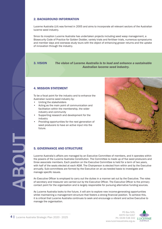## 2. BACKGROUND INFORMATION

Lucerne Australia (LA) was formed in 2005 and aims to incorporate all relevant sectors of the Australian lucerne seed industry.

Since its inception Lucerne Australia has undertaken projects including seed wasp management, a Biosecurity Code of Practice for Golden Dodder, variety trials and fertiliser trials, numerous symposiums and member days and overseas study tours with the object of enhancing grower returns and the uptake of innovation through the industry.

3. VISION *The vision of Lucerne Australia is to lead and enhance a sustainable Australian lucerne seed industry.*

### 4. MISSION STATEMENT

To be a focal point for the industry and to enhance the Australian lucerne seed industry by:

- Uniting the stakeholders
- Acting as the main point of communication and facilitation within the membership, the wider industry and community
- Supporting research and development for the industry
- Providing opportunities for the next generation of seed producers to have an active input into the future.



### 5. GOVERNANCE AND STRUCTURE

Lucerne Australia's affairs are managed by an Executive Committee of members, and it operates within the powers of the Lucerne Australia Constitution. The Committee is made up of five seed producers and three associate members. Each position on the Executive Committee is held for a term of two years, with half of the seats elected at each AGM. The Chairperson is elected from within and by the Executive annually. Sub-committees are formed by the Executive on an as-needed basis to investigate and manage specific issues.

An Executive Officer is employed to carry out the duties in a manner set out by the Executive. The roles of secretary and treasurer are carried out by the Executive Officer. The Executive Officer is the primary contact point for the organisation and is largely responsible for pursuing alternative funding sources.

As Lucerne Australia looks to the future, it will aim to explore new income-generating opportunities whilst maintaining a management structure that fosters a strong financial position. To achieve this, it is critical that Lucerne Australia continues to seek and encourage a vibrant and active Executive to manage the organisation.